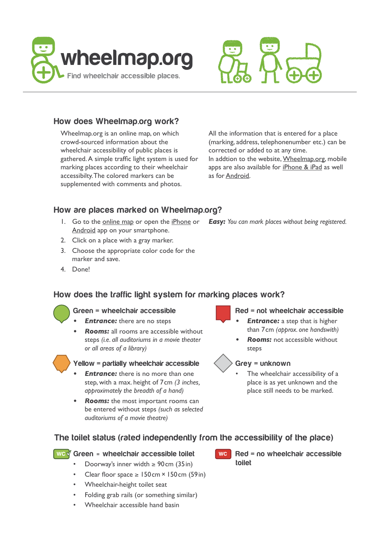



# **How does Wheelmap.org work?**

Wheelmap.org is an online map, on which crowd-sourced information about the wheelchair accessibility of public places is gathered. A simple traffic light system is used for marking places according to their wheelchair accessibilty. The colored markers can be supplemented with comments and photos.

All the information that is entered for a place (marking, address, telephonenumber etc.) can be corrected or added to at any time. In addtion to the website, [Wheelmap.org,](http://wheelmap.org/en/map) mobile apps are also available for [iPhone & iPad](https://itunes.apple.com/en/app/wheelmap/id399239476?mt=8) as well as for [Android](https://play.google.com/store/apps/details?id=org.wheelmap.android.online&hl=en).

# **How are places marked on Wheelmap.org?**

- 1. Go to the o[nline](http://wheelmap.org/en/map) map or open the [iPhone](https://itunes.apple.com/en/app/wheelmap/id399239476?mt=8) or *Easy: You can mark places without being registered.* [Android](https://play.google.com/store/apps/details?id=org.wheelmap.android.online&hl=en) app on your smartphone.
- 2. Click on a place with a gray marker.
- 3. Choose the appropriate color code for the marker and save.
- 4. Done!

# **How does the traffic light system for marking places work?**

## **Green = wheelchair accessible**

- *Entrance:* there are no steps
- *• Rooms:* all rooms are accessible without steps *(i.e. all auditoriums in a movie theater or all areas of a library)*

## **Yellow = partially wheelchair accessible**

- *Entrance:* there is no more than one step, with a max. height of 7cm *(3 inches, approximately the breadth of a hand)*
- *• Rooms:* the most important rooms can be entered without steps *(such as selected auditoriums of a movie theatre)*
- **Red = not wheelchair accessible**
- *Entrance:* a step that is higher than 7cm *(approx. one handswith)*
- *Rooms:* not accessible without steps

## **Grey = unknown**

The wheelchair accessibility of a place is as yet unknown and the place still needs to be marked.

## **The toilet status (rated independently from the accessibility of the place)**

## **Green = wheelchair accessible toilet**

- Doorway's inner width  $\geq 90$  cm (35 in)
- Clear floor space  $\geq 150 \text{ cm} \times 150 \text{ cm}$  (59in)
- Wheelchair-height toilet seat
- Folding grab rails (or something similar)
- Wheelchair accessible hand basin
- **Red = no wheelchair accessible WC toilet**